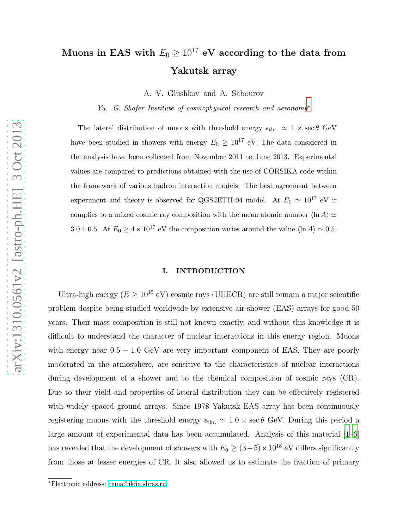# Muons in EAS with  $E_0 \ge 10^{17}$  eV according to the data from Yakutsk array

A. V. Glushkov and A. Sabourov

Yu. G. Shafer Institute of cosmophysical research and aeronomy[∗](#page-0-0)

The lateral distribution of muons with threshold energy  $\epsilon_{\text{thr.}} \simeq 1 \times \sec \theta$  GeV have been studied in showers with energy  $E_0 \geq 10^{17}$  eV. The data considered in the analysis have been collected from November 2011 to June 2013. Experimental values are compared to predictions obtained with the use of CORSIKA code within the framework of various hadron interaction models. The best agreement between experiment and theory is observed for QGSJETII-04 model. At  $E_0 \simeq 10^{17}$  eV it complies to a mixed cosmic ray composition with the mean atomic number  $\langle \ln A \rangle \simeq$ 3.0 ± 0.5. At  $E_0 \ge 4 \times 10^{17}$  eV the composition varies around the value  $\langle \ln A \rangle \simeq 0.5$ .

#### I. INTRODUCTION

Ultra-high energy ( $E \ge 10^{15}$  eV) cosmic rays (UHECR) are still remain a major scientific problem despite being studied worldwide by extensive air shower (EAS) arrays for good 50 years. Their mass composition is still not known exactly, and without this knowledge it is difficult to understand the character of nuclear interactions in this energy region. Muons with energy near  $0.5 - 1.0$  GeV are very important component of EAS. They are poorly moderated in the atmosphere, are sensitive to the characteristics of nuclear interactions during development of a shower and to the chemical composition of cosmic rays (CR). Due to their yield and properties of lateral distribution they can be effectively registered with widely spaced ground arrays. Since 1978 Yakutsk EAS array has been continuously registering muons with the threshold energy  $\epsilon_{\text{thr.}} \simeq 1.0 \times \sec \theta$  GeV. During this period a large amount of experimental data has been accumulated. Analysis of this material [\[1](#page-11-0)[–6\]](#page-11-1) has revealed that the development of showers with  $E_0 \geq (3-5) \times 10^{18}$  eV differs significantly from those at lesser energies of CR. It also allowed us to estimate the fraction of primary

<span id="page-0-0"></span><sup>∗</sup>Electronic address: [tema@ikfia.sbras.ru](mailto:tema@ikfia.sbras.ru)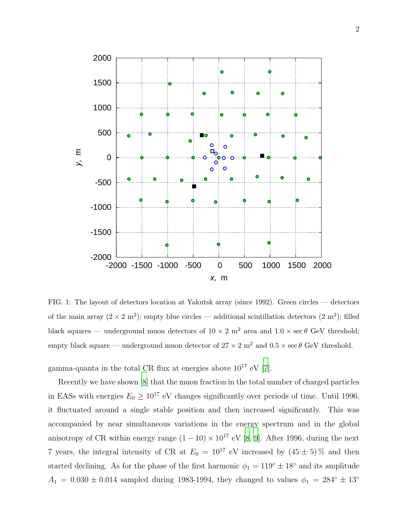

<span id="page-1-0"></span>FIG. 1: The layout of detectors location at Yakutsk array (since 1992). Green circles — detectors of the main array  $(2 \times 2 \text{ m}^2)$ ; empty blue circles — additional scintillation detectors  $(2 \text{ m}^2)$ ; filled black squares — underground muon detectors of  $10 \times 2$  m<sup>2</sup> area and  $1.0 \times \sec \theta$  GeV threshold; empty black square — underground muon detector of  $27 \times 2$  m<sup>2</sup> and  $0.5 \times \sec \theta$  GeV threshold.

gamma-quanta in the total CR flux at energies above  $10^{17}$  eV [\[7](#page-11-2)].

Recently we have shown [\[8](#page-11-3)] that the muon fraction in the total number of charged particles in EASs with energies  $E_0 \geq 10^{17}$  eV changes significantly over periods of time. Until 1996, it fluctuated around a single stable position and then increased significantly. This was accompanied by near simultaneous variations in the energy spectrum and in the global anisotropy of CR within energy range  $(1 - 10) \times 10^{17}$  eV [\[8,](#page-11-3) [9\]](#page-11-4). After 1996, during the next 7 years, the integral intensity of CR at  $E_0 = 10^{17}$  eV increased by  $(45 \pm 5)\%$  and then started declining. As for the phase of the first harmonic  $\phi_1 = 119^\circ \pm 18^\circ$  and its amplitude  $A_1 = 0.030 \pm 0.014$  sampled during 1983-1994, they changed to values  $\phi_1 = 284^\circ \pm 13^\circ$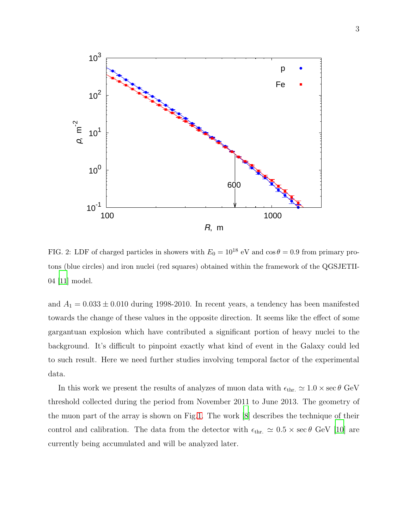

<span id="page-2-0"></span>FIG. 2: LDF of charged particles in showers with  $E_0 = 10^{18}$  eV and  $\cos \theta = 0.9$  from primary protons (blue circles) and iron nuclei (red squares) obtained within the framework of the QGSJETII-04 [\[11](#page-11-5)] model.

and  $A_1 = 0.033 \pm 0.010$  during 1998-2010. In recent years, a tendency has been manifested towards the change of these values in the opposite direction. It seems like the effect of some gargantuan explosion which have contributed a significant portion of heavy nuclei to the background. It's difficult to pinpoint exactly what kind of event in the Galaxy could led to such result. Here we need further studies involving temporal factor of the experimental data.

In this work we present the results of analyzes of muon data with  $\epsilon_{\text{thr.}} \simeq 1.0 \times \sec \theta$  GeV threshold collected during the period from November 2011 to June 2013. The geometry of the muon part of the array is shown on Fig[.1.](#page-1-0) The work [\[8\]](#page-11-3) describes the technique of their control and calibration. The data from the detector with  $\epsilon_{\text{thr.}} \simeq 0.5 \times \sec \theta$  GeV [\[10\]](#page-11-6) are currently being accumulated and will be analyzed later.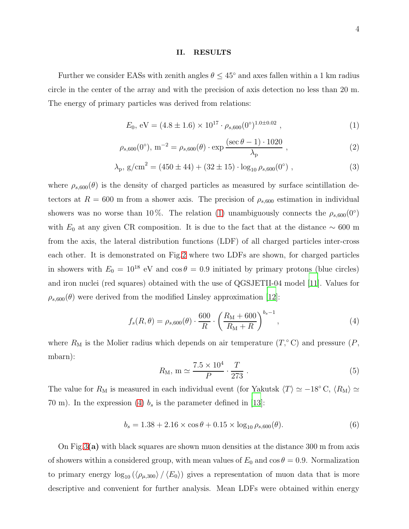#### II. RESULTS

Further we consider EASs with zenith angles  $\theta \leq 45^{\circ}$  and axes fallen within a 1 km radius circle in the center of the array and with the precision of axis detection no less than 20 m. The energy of primary particles was derived from relations:

<span id="page-3-0"></span>
$$
E_0, \, \text{eV} = (4.8 \pm 1.6) \times 10^{17} \cdot \rho_{s,600}(0^\circ)^{1.0 \pm 0.02} \,, \tag{1}
$$

$$
\rho_{s,600}(0^{\circ}), \, \text{m}^{-2} = \rho_{s,600}(\theta) \cdot \exp \frac{(\sec \theta - 1) \cdot 1020}{\lambda_{p}}, \tag{2}
$$

$$
\lambda_{p}, g/cm^{2} = (450 \pm 44) + (32 \pm 15) \cdot \log_{10} \rho_{s,600}(0^{\circ}), \tag{3}
$$

where  $\rho_{s,600}(\theta)$  is the density of charged particles as measured by surface scintillation detectors at  $R = 600$  m from a shower axis. The precision of  $\rho_{s,600}$  estimation in individual showers was no worse than 10%. The relation [\(1\)](#page-3-0) unambiguously connects the  $\rho_{s,600}(0°)$ with  $E_0$  at any given CR composition. It is due to the fact that at the distance  $\sim 600$  m from the axis, the lateral distribution functions (LDF) of all charged particles inter-cross each other. It is demonstrated on Fig[.2](#page-2-0) where two LDFs are shown, for charged particles in showers with  $E_0 = 10^{18}$  eV and  $\cos \theta = 0.9$  initiated by primary protons (blue circles) and iron nuclei (red squares) obtained with the use of QGSJETII-04 model [\[11\]](#page-11-5). Values for  $\rho_{s,600}(\theta)$  were derived from the modified Linsley approximation [\[12](#page-11-7)]:

<span id="page-3-1"></span>
$$
f_s(R,\theta) = \rho_{s,600}(\theta) \cdot \frac{600}{R} \cdot \left(\frac{R_M + 600}{R_M + R}\right)^{b_s - 1},\tag{4}
$$

where  $R_M$  is the Molier radius which depends on air temperature  $(T, \circ C)$  and pressure  $(P, \circ C)$ mbarn):

$$
R_M
$$
, m  $\simeq \frac{7.5 \times 10^4}{P} \cdot \frac{T}{273}$ . (5)

The value for  $R_M$  is measured in each individual event (for Yakutsk  $\langle T \rangle \simeq -18° \text{ C}, \langle R_M \rangle \simeq$ 70 m). In the expression [\(4\)](#page-3-1)  $b_s$  is the parameter defined in [\[13](#page-11-8)]:

$$
b_s = 1.38 + 2.16 \times \cos \theta + 0.15 \times \log_{10} \rho_{s,600}(\theta). \tag{6}
$$

On Fig[.3](#page-4-0)(a) with black squares are shown muon densities at the distance 300 m from axis of showers within a considered group, with mean values of  $E_0$  and  $\cos \theta = 0.9$ . Normalization to primary energy  $\log_{10} (\langle \rho_{\mu,300} \rangle / \langle E_0 \rangle)$  gives a representation of muon data that is more descriptive and convenient for further analysis. Mean LDFs were obtained within energy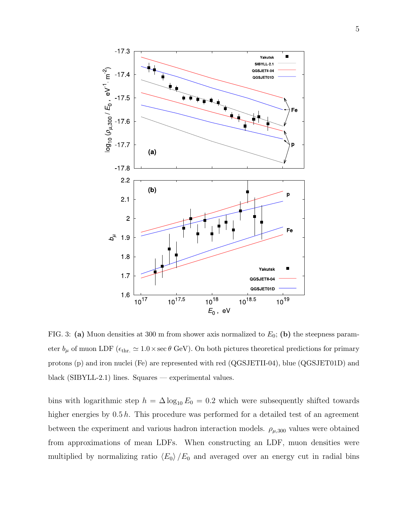

<span id="page-4-0"></span>FIG. 3: (a) Muon densities at 300 m from shower axis normalized to  $E_0$ ; (b) the steepness parameter  $b_{\mu}$  of muon LDF ( $\epsilon_{thr.} \simeq 1.0 \times \sec \theta$  GeV). On both pictures theoretical predictions for primary protons (p) and iron nuclei (Fe) are represented with red (QGSJETII-04), blue (QGSJET01D) and black (SIBYLL-2.1) lines. Squares — experimental values.

bins with logarithmic step  $h = \Delta \log_{10} E_0 = 0.2$  which were subsequently shifted towards higher energies by  $0.5 h$ . This procedure was performed for a detailed test of an agreement between the experiment and various hadron interaction models.  $\rho_{\mu,300}$  values were obtained from approximations of mean LDFs. When constructing an LDF, muon densities were multiplied by normalizing ratio  $\langle E_0 \rangle / E_0$  and averaged over an energy cut in radial bins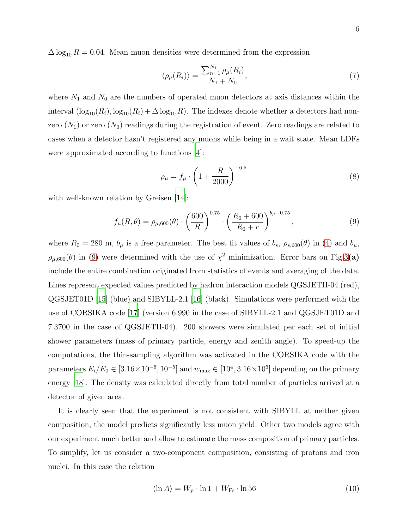$\Delta \log_{10} R = 0.04$ . Mean muon densities were determined from the expression

$$
\langle \rho_{\mu}(R_i) \rangle = \frac{\sum_{n=1}^{N_1} \rho_{\mu}(R_i)}{N_1 + N_0},\tag{7}
$$

where  $N_1$  and  $N_0$  are the numbers of operated muon detectors at axis distances within the interval  $(\log_{10}(R_i), \log_{10}(R_i) + \Delta \log_{10} R)$ . The indexes denote whether a detectors had nonzero  $(N_1)$  or zero  $(N_0)$  readings during the registration of event. Zero readings are related to cases when a detector hasn't registered any muons while being in a wait state. Mean LDFs were approximated according to functions [\[4\]](#page-11-9):

<span id="page-5-1"></span>
$$
\rho_{\mu} = f_{\mu} \cdot \left( 1 + \frac{R}{2000} \right)^{-6.5}
$$
\n(8)

with well-known relation by Greisen [\[14\]](#page-11-10):

<span id="page-5-0"></span>
$$
f_{\mu}(R,\theta) = \rho_{\mu,600}(\theta) \cdot \left(\frac{600}{R}\right)^{0.75} \cdot \left(\frac{R_0 + 600}{R_0 + r}\right)^{b_{\mu} - 0.75},\tag{9}
$$

where  $R_0 = 280$  m,  $b_\mu$  is a free parameter. The best fit values of  $b_s$ ,  $\rho_{s,600}(\theta)$  in [\(4\)](#page-3-1) and  $b_\mu$ ,  $\rho_{\mu,600}(\theta)$  in [\(9\)](#page-5-0) were determined with the use of  $\chi^2$  minimization. Error bars on Fig[.3](#page-4-0)(a) include the entire combination originated from statistics of events and averaging of the data. Lines represent expected values predicted by hadron interaction models QGSJETII-04 (red), QGSJET01D [\[15](#page-11-11)] (blue) and SIBYLL-2.1 [\[16\]](#page-11-12) (black). Simulations were performed with the use of CORSIKA code [\[17](#page-11-13)] (version 6.990 in the case of SIBYLL-2.1 and QGSJET01D and 7.3700 in the case of QGSJETII-04). 200 showers were simulated per each set of initial shower parameters (mass of primary particle, energy and zenith angle). To speed-up the computations, the thin-sampling algorithm was activated in the CORSIKA code with the parameters  $E_i/E_0 \in [3.16 \times 10^{-6}, 10^{-5}]$  and  $w_{\text{max}} \in [10^4, 3.16 \times 10^6]$  depending on the primary energy [\[18](#page-11-14)]. The density was calculated directly from total number of particles arrived at a detector of given area.

It is clearly seen that the experiment is not consistent with SIBYLL at neither given composition; the model predicts significantly less muon yield. Other two models agree with our experiment much better and allow to estimate the mass composition of primary particles. To simplify, let us consider a two-component composition, consisting of protons and iron nuclei. In this case the relation

<span id="page-5-2"></span>
$$
\langle \ln A \rangle = W_{\rm p} \cdot \ln 1 + W_{\rm Fe} \cdot \ln 56 \tag{10}
$$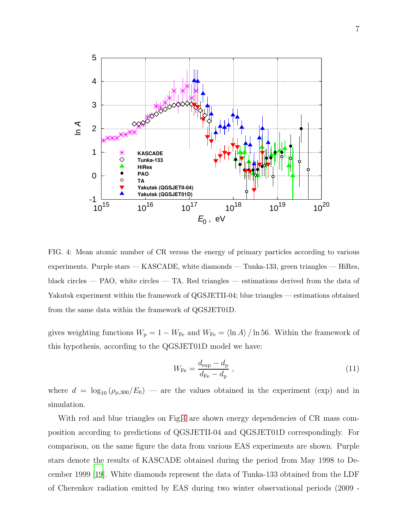

<span id="page-6-0"></span>FIG. 4: Mean atomic number of CR versus the energy of primary particles according to various experiments. Purple stars — KASCADE, white diamonds — Tunka-133, green triangles — HiRes, black circles — PAO, white circles — TA. Red triangles — estimations derived from the data of Yakutsk experiment within the framework of QGSJETII-04; blue triangles — estimations obtained from the same data within the framework of QGSJET01D.

gives weighting functions  $W_{\rm p} = 1 - W_{\rm Fe}$  and  $W_{\rm Fe} = \langle \ln A \rangle / \ln 56$ . Within the framework of this hypothesis, according to the QGSJET01D model we have:

<span id="page-6-1"></span>
$$
W_{\rm Fe} = \frac{d_{\rm exp} - d_{\rm p}}{d_{\rm Fe} - d_{\rm p}} \,,\tag{11}
$$

where  $d = \log_{10} (\rho_{\mu,300}/E_0)$  — are the values obtained in the experiment (exp) and in simulation.

With red and blue triangles on Fig[.4](#page-6-0) are shown energy dependencies of CR mass composition according to predictions of QGSJETII-04 and QGSJET01D correspondingly. For comparison, on the same figure the data from various EAS experiments are shown. Purple stars denote the results of KASCADE obtained during the period from May 1998 to December 1999 [\[19\]](#page-11-15). White diamonds represent the data of Tunka-133 obtained from the LDF of Cherenkov radiation emitted by EAS during two winter observational periods (2009 -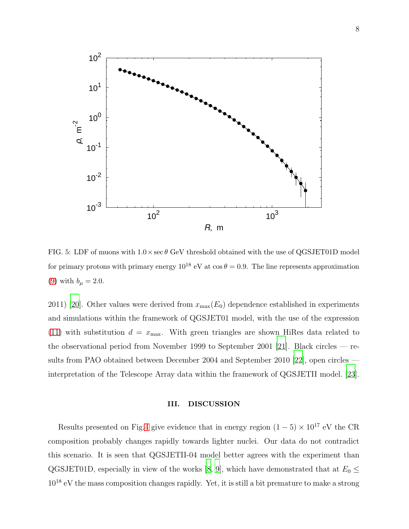

<span id="page-7-0"></span>FIG. 5: LDF of muons with  $1.0 \times \sec \theta$  GeV threshold obtained with the use of QGSJET01D model for primary protons with primary energy  $10^{18}$  eV at  $\cos \theta = 0.9$ . The line represents approximation [\(9\)](#page-5-0) with  $b_{\mu} = 2.0$ .

2011) [\[20\]](#page-11-16). Other values were derived from  $x_{\text{max}}(E_0)$  dependence established in experiments and simulations within the framework of QGSJET01 model, with the use of the expression [\(11\)](#page-6-1) with substitution  $d = x_{\text{max}}$ . With green triangles are shown HiRes data related to the observational period from November 1999 to September 2001 [\[21\]](#page-11-17). Black circles — results from PAO obtained between December 2004 and September 2010 [\[22\]](#page-11-18), open circles interpretation of the Telescope Array data within the framework of QGSJETII model. [\[23\]](#page-11-19).

### III. DISCUSSION

Results presented on Fig[.4](#page-6-0) give evidence that in energy region  $(1-5) \times 10^{17}$  eV the CR composition probably changes rapidly towards lighter nuclei. Our data do not contradict this scenario. It is seen that QGSJETII-04 model better agrees with the experiment than QGSJET01D, especially in view of the works [\[8,](#page-11-3) [9\]](#page-11-4), which have demonstrated that at  $E_0 \leq$ 10<sup>18</sup> eV the mass composition changes rapidly. Yet, it is still a bit premature to make a strong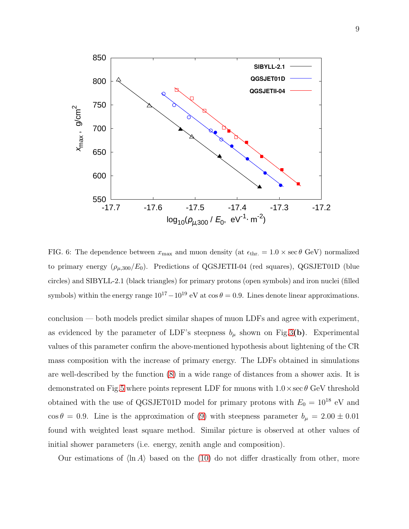

<span id="page-8-0"></span>FIG. 6: The dependence between  $x_{\text{max}}$  and muon density (at  $\epsilon_{\text{thr}} = 1.0 \times \sec \theta$  GeV) normalized to primary energy  $(\rho_{\mu,300}/E_0)$ . Predictions of QGSJETII-04 (red squares), QGSJET01D (blue circles) and SIBYLL-2.1 (black triangles) for primary protons (open symbols) and iron nuclei (filled symbols) within the energy range  $10^{17} - 10^{19}$  eV at  $\cos \theta = 0.9$ . Lines denote linear approximations.

conclusion — both models predict similar shapes of muon LDFs and agree with experiment, as evidenced by the parameter of LDF's steepness  $b_{\mu}$  shown on Fig[.3](#page-4-0)(b). Experimental values of this parameter confirm the above-mentioned hypothesis about lightening of the CR mass composition with the increase of primary energy. The LDFs obtained in simulations are well-described by the function [\(8\)](#page-5-1) in a wide range of distances from a shower axis. It is demonstrated on Fig[.5](#page-7-0) where points represent LDF for muons with  $1.0 \times \sec \theta$  GeV threshold obtained with the use of QGSJET01D model for primary protons with  $E_0 = 10^{18}$  eV and  $\cos \theta = 0.9$ . Line is the approximation of [\(9\)](#page-5-0) with steepness parameter  $b_{\mu} = 2.00 \pm 0.01$ found with weighted least square method. Similar picture is observed at other values of initial shower parameters (i.e. energy, zenith angle and composition).

Our estimations of  $\langle \ln A \rangle$  based on the [\(10\)](#page-5-2) do not differ drastically from other, more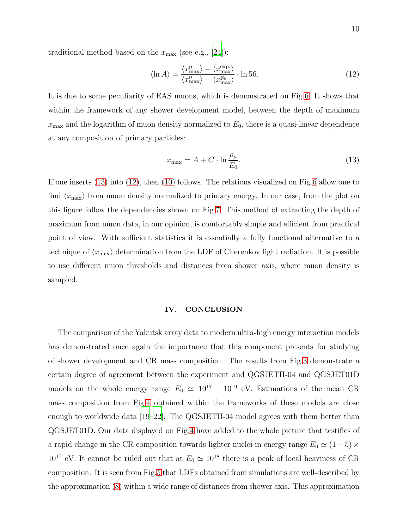traditional method based on the  $x_{\text{max}}$  (see e.g., [\[24](#page-11-20)]):

<span id="page-9-1"></span>
$$
\langle \ln A \rangle = \frac{\langle x_{\text{max}}^{\text{p}} \rangle - \langle x_{\text{max}}^{\text{exp.}} \rangle}{\langle x_{\text{max}}^{\text{p}} \rangle - \langle x_{\text{max}}^{\text{Fe}} \rangle} \cdot \ln 56. \tag{12}
$$

It is due to some peculiarity of EAS muons, which is demonstrated on Fig[.6.](#page-8-0) It shows that within the framework of any shower development model, between the depth of maximum  $x_{\text{max}}$  and the logarithm of muon density normalized to  $E_0$ , there is a quasi-linear dependence at any composition of primary particles:

<span id="page-9-0"></span>
$$
x_{\text{max}} = A + C \cdot \ln \frac{\rho_{\mu}}{E_0}.\tag{13}
$$

If one inserts [\(13\)](#page-9-0) into [\(12\)](#page-9-1), then [\(10\)](#page-5-2) follows. The relations visualized on Fig[.6](#page-8-0) allow one to find  $\langle x_{\text{max}} \rangle$  from muon density normalized to primary energy. In our case, from the plot on this figure follow the dependencies shown on Fig[.7.](#page-10-0) This method of extracting the depth of maximum from muon data, in our opinion, is comfortably simple and efficient from practical point of view. With sufficient statistics it is essentially a fully functional alternative to a technique of  $\langle x_{\text{max}} \rangle$  determination from the LDF of Cherenkov light radiation. It is possible to use different muon thresholds and distances from shower axis, where muon density is sampled.

## IV. CONCLUSION

The comparison of the Yakutsk array data to modern ultra-high energy interaction models has demonstrated once again the importance that this component presents for studying of shower development and CR mass composition. The results from Fig[.3](#page-4-0) demonstrate a certain degree of agreement between the experiment and QGSJETII-04 and QGSJET01D models on the whole energy range  $E_0 \simeq 10^{17} - 10^{19}$  eV. Estimations of the mean CR mass composition from Fig[.4](#page-6-0) obtained within the frameworks of these models are close enough to worldwide data [\[19](#page-11-15)[–22\]](#page-11-18). The QGSJETII-04 model agrees with them better than QGSJET01D. Our data displayed on Fig[.4](#page-6-0) have added to the whole picture that testifies of a rapid change in the CR composition towards lighter nuclei in energy range  $E_0 \simeq (1-5) \times$  $10^{17}$  eV. It cannot be ruled out that at  $E_0 \simeq 10^{18}$  there is a peak of local heaviness of CR composition. It is seen from Fig[.5](#page-7-0) that LDFs obtained from simulations are well-described by the approximation [\(8\)](#page-5-1) within a wide range of distances from shower axis. This approximation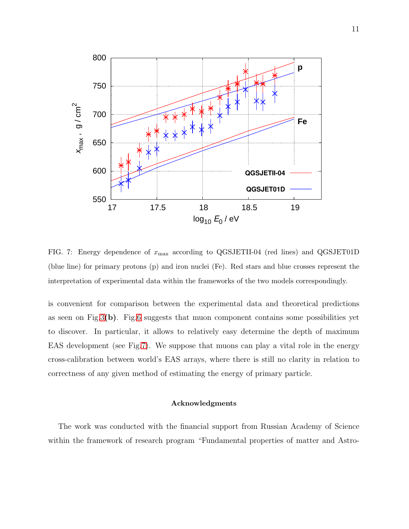

<span id="page-10-0"></span>FIG. 7: Energy dependence of  $x_{\text{max}}$  according to QGSJETII-04 (red lines) and QGSJET01D (blue line) for primary protons (p) and iron nuclei (Fe). Red stars and blue crosses represent the interpretation of experimental data within the frameworks of the two models correspondingly.

is convenient for comparison between the experimental data and theoretical predictions as seen on Fig[.3](#page-4-0)(b). Fig[.6](#page-8-0) suggests that muon component contains some possibilities yet to discover. In particular, it allows to relatively easy determine the depth of maximum EAS development (see Fig[.7\)](#page-10-0). We suppose that muons can play a vital role in the energy cross-calibration between world's EAS arrays, where there is still no clarity in relation to correctness of any given method of estimating the energy of primary particle.

### Acknowledgments

The work was conducted with the financial support from Russian Academy of Science within the framework of research program "Fundamental properties of matter and Astro